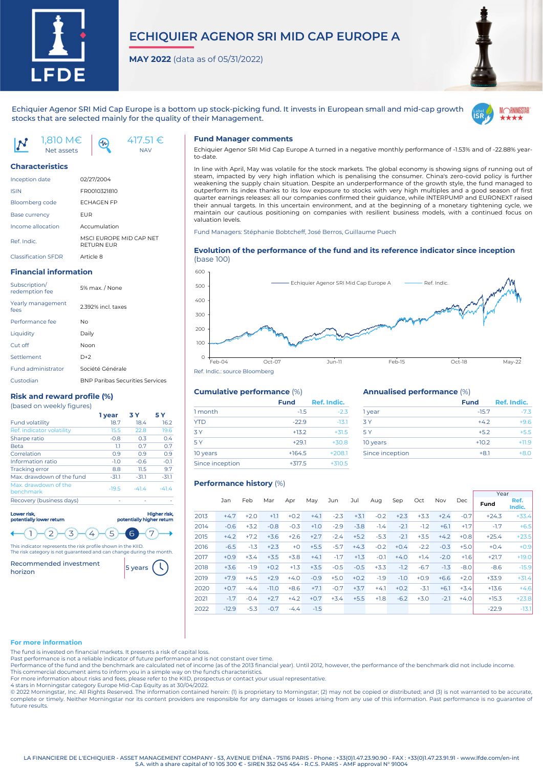

# **ECHIQUIER AGENOR SRI MID CAP EUROPE A**

**MAY 2022** (data as of 05/31/2022)



Echiquier Agenor SRI Mid Cap Europe is a bottom up stock-picking fund. It invests in European small and mid-cap growth stocks that are selected mainly for the quality of their Management.



1,810 M€ Net assets

Inception date 02/27/2004 ISIN FR0010321810 Bloomberg code **ECHAGEN FP** Base currency **EUR** Income allocation Accumulation

Classification SFDR Article 8 **Financial information**

Performance fee No Liquidity Daily Cut off Noor Settlement D+2

subscription/<br>redemption fee 5% max. / None

Yearly management fees 2.392% incl. taxes

Fund administrator Société Générale

**Risk and reward profile (%)** (based on weekly figures)

Custodian BNP Paribas Securities Services

Ref. indicator volatility 15.5 22.8 19.6 Sharpe ratio  $-0.8$  0.3 0.4 Beta 1.1 0.7 0.7 Correlation 0.9 0.9 0.9 Information ratio  $-1.0$   $-0.6$   $-0.1$ Tracking error 8.8 11.5 9.7 Max. drawdown of the fund -31.1 -31.1 -31.1 Max. drawdown of the benchmark -19.5 -41.4 -41.4

Subscription/

Fund volatility

Ref. Indic. MSCI EUROPE MID CAP NET **DETURN EUR** 

**Characteristics**



 $(n)$ 

#### **Fund Manager comments**

Echiquier Agenor SRI Mid Cap Europe A turned in a negative monthly performance of -1.53% and of -22.88% yearto-date.

In line with April, May was volatile for the stock markets. The global economy is showing signs of running out of steam, impacted by very high inflation which is penalising the consumer. China's zero-covid policy is further weakening the supply chain situation. Despite an underperformance of the growth style, the fund managed to outperform its index thanks to its low exposure to stocks with very high multiples and a good season of first quarter earnings releases: all our companies confirmed their guidance, while INTERPUMP and EURONEXT raised their annual targets. In this uncertain environment, and at the beginning of a monetary tightening cycle, we maintain our cautious positioning on companies with resilient business models, with a continued focus on valuation levels.

Fund Managers: Stéphanie Bobtcheff, José Berros, Guillaume Puech

#### **Evolution of the performance of the fund and its reference indicator since inception** (base 100)



#### **Cumulative performance** (%)

|                 | <b>Fund</b> | Ref. Indic. |
|-----------------|-------------|-------------|
| 1 month         | $-1.5$      | $-2.3$      |
| <b>YTD</b>      | $-22.9$     | $-13.1$     |
| 3Y              | $+13.2$     | $+31.5$     |
| 5 Y             | $+29.1$     | $+30.8$     |
| 10 years        | $+164.5$    | $+208.1$    |
| Since inception | $+317.5$    | $+310.5$    |
|                 |             |             |

#### **Annualised performance** (%)

|                 | <b>Fund</b> | Ref. Indic. |
|-----------------|-------------|-------------|
| 1 year          | $-15.7$     | $-7.3$      |
| <b>3Y</b>       | $+42$       | $+9.6$      |
| 5 Y             | $+5.2$      | $+5.5$      |
| 10 years        | $+10.2$     | $+11.9$     |
| Since inception | $+8.1$      | $+80$       |
|                 |             |             |

#### **Performance history** (%)

|      |         |        |         |        |        |        |        |        |        |        |        |        |         |                | Year |  |
|------|---------|--------|---------|--------|--------|--------|--------|--------|--------|--------|--------|--------|---------|----------------|------|--|
|      | Jan     | Feb    | Mar     | Apr    | May    | Jun    | Jul    | Aug    | Sep    | Oct    | Nov    | Dec    | Fund    | Ref.<br>Indic. |      |  |
| 2013 | $+4.7$  | $+2.0$ | $+1.1$  | $+0.2$ | $+4.1$ | $-2.3$ | $+3.1$ | $-0.2$ | $+2.3$ | $+3.3$ | $+2.4$ | $-0.7$ | $+24.3$ | $+33.4$        |      |  |
| 2014 | $-0.6$  | $+3.2$ | $-0.8$  | $-0.3$ | $+1.0$ | $-2.9$ | $-3.8$ | $-1.4$ | $-2.1$ | $-1.2$ | $+6.1$ | $+1.7$ | $-1.7$  | $+6.5$         |      |  |
| 2015 | $+4.2$  | $+7.2$ | $+3.6$  | $+2.6$ | $+2.7$ | $-2.4$ | $+5.2$ | $-5.3$ | $-2.1$ | $+3.5$ | $+4.2$ | $+0.8$ | $+25.4$ | $+23.5$        |      |  |
| 2016 | $-6.5$  | $-1.3$ | $+2.3$  | $+0$   | $+5.5$ | $-5.7$ | $+4.3$ | $-0.2$ | $+0.4$ | $-2.2$ | $-0.3$ | $+5.0$ | $+0.4$  | $+0.9$         |      |  |
| 2017 | $+0.9$  | $+3.4$ | $+3.5$  | $+3.8$ | $+4.1$ | $-1.7$ | $+1.3$ | $-0.1$ | $+4.0$ | $+1.4$ | $-2.0$ | $+1.6$ | $+21.7$ | $+19.0$        |      |  |
| 2018 | $+3.6$  | $-1.9$ | $+0.2$  | $+1.3$ | $+3.5$ | $-0.5$ | $-0.5$ | $+3.3$ | $-1.2$ | $-6.7$ | $-1.3$ | $-8.0$ | $-8.6$  | $-15.9$        |      |  |
| 2019 | $+7.9$  | $+4.5$ | $+2.9$  | $+4.0$ | $-0.9$ | $+5.0$ | $+0.2$ | $-1.9$ | $-1.0$ | $+0.9$ | $+6.6$ | $+2.0$ | $+33.9$ | $+31.4$        |      |  |
| 2020 | $+0.7$  | $-4.4$ | $-11.0$ | $+8.6$ | $+7.1$ | $-0.7$ | $+3.7$ | $+4.1$ | $+0.2$ | $-3.1$ | $+6.1$ | $+3.4$ | $+13.6$ | $+4.6$         |      |  |
| 2021 | $-1.7$  | $-0.4$ | $+2.7$  | $+4.2$ | $+0.7$ | $+3.4$ | $+5.5$ | $+1.8$ | $-6.2$ | $+3.0$ | $-2.1$ | $+4.0$ | $+15.3$ | $+23.8$        |      |  |
| 2022 | $-12.9$ | $-5.3$ | $-0.7$  | $-4.4$ | $-1.5$ |        |        |        |        |        |        |        | $-22.9$ | $-13.1$        |      |  |

#### **For more information**

The fund is invested on financial markets. It presents a risk of capital loss.

Past performance is not a reliable indicator of future performance and is not constant over time.

Performance of the fund and the benchmark are calculated net of income (as of the 2013 financial year). Until 2012, however, the performance of the benchmark did not include income.

This commercial document aims to inform you in a simple way on the fund's characteristics. For more information about risks and fees, please refer to the KIID, prospectus or contact your usual representative.

4 stars in Morningstar category Europe Mid-Cap Equity as at 30/04/2022.

© 2022 Morningstar, Inc. All Rights Reserved. The information contained herein: (1) is proprietary to Morningstar; (2) may not be copied or distributed; and (3) is not warranted to be accurate, complete or timely. Neither Morningstar nor its content providers are responsible for any damages or losses arising from any use of this information. Past performance is no guarantee of future results.

LA FINANCIERE DE L'ECHIQUIER - ASSET MANAGEMENT COMPANY - 53, AVENUE D'IÉNA - 75116 PARIS - Phone : +33(0)1.47.23.90.90 - FAX : +33(0)1.47.23.91.91 - www.lfde.com/en-int S.A. with a share capital of 10 105 300 € - SIREN 352 045 454 - R.C.S. PARIS - AMF approval N° 91004

 $(3)$  $\langle 4 \rangle$  $\left\langle 5 \right\rangle$  $\epsilon$ 7 This indicator represents the risk profile shown in the KIID. The risk category is not guaranteed and can change during the month.

Higher risk, potentially higher return

**1 year 3 Y 5 Y**

Recommended investment Recommended investment 5 years

 $\overline{2}$ 

Recovery (business days)

lor risk potentially lower return

 $\mathbf{I}$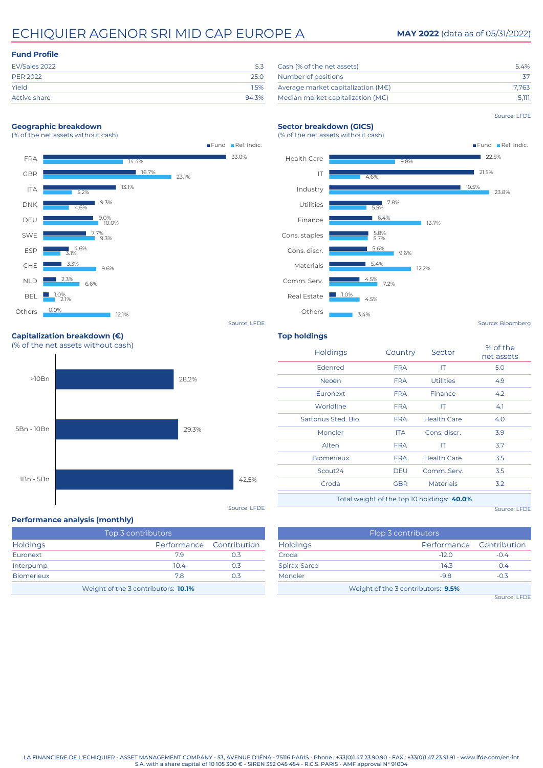# ECHIQUIER AGENOR SRI MID CAP EUROPE A **MAY 2022** (data as of 05/31/2022)

### **Fund Profile**

| 25 O  |
|-------|
| 1.5%  |
| 94.3% |
|       |

### Cash (% of the net assets) 6.4% Number of positions 37 Average market capitalization (M€) 7,763 Median market capitalization (M€) 5,111

#### Source: LFDE

#### **Geographic breakdown** (% of the net assets without cash)





**Top holdings**

Source: LFDE

# (% of the net assets without cash) 28.2%

42.5% 29.3% 1Bn - 5Bn 5Bn - 10Bn

#### **Performance analysis (monthly)**

**Capitalization breakdown (€)**

>10Bn

| Top 3 contributors                         |                 |                          |  |  |  |  |  |
|--------------------------------------------|-----------------|--------------------------|--|--|--|--|--|
| <b>Holdings</b>                            |                 | Performance Contribution |  |  |  |  |  |
| Euronext                                   | 79              | 0.3                      |  |  |  |  |  |
| Interpump                                  | 10 <sub>4</sub> | 03                       |  |  |  |  |  |
| <b>Biomerieux</b>                          | 78              | 03                       |  |  |  |  |  |
| Weight of the 3 contributors: <b>10.1%</b> |                 |                          |  |  |  |  |  |

| <b>Holdings</b>      | Country    | Sector                                     | % of the<br>net assets |
|----------------------|------------|--------------------------------------------|------------------------|
| Edenred              | <b>FRA</b> | IT.                                        | 5.0                    |
| <b>Neoen</b>         | <b>FRA</b> | <b>Utilities</b>                           | 4.9                    |
| Euronext             | <b>FRA</b> | Finance                                    | 4.2                    |
| Worldline            | <b>FRA</b> | ΙT                                         | 4.1                    |
| Sartorius Sted, Bio. | <b>FRA</b> | <b>Health Care</b>                         | 4.0                    |
| Moncler              | ITA.       | Cons. discr.                               | 3.9                    |
| Alten                | <b>FRA</b> | ΙT                                         | 3.7                    |
| <b>Biomerieux</b>    | <b>FRA</b> | <b>Health Care</b>                         | 3.5                    |
| Scout <sub>24</sub>  | <b>DEU</b> | Comm. Serv.                                | 3.5                    |
| Croda                | <b>GBR</b> | <b>Materials</b>                           | 3.2                    |
|                      |            | Total weight of the top 10 holdings: 40.0% |                        |

Source: LFDE

|                 | Flop 3 contributors                |                          |
|-----------------|------------------------------------|--------------------------|
| <b>Holdings</b> |                                    | Performance Contribution |
| Croda           | $-12.0$                            | $-0.4$                   |
| Spirax-Sarco    | $-14.3$                            | $-0.4$                   |
| Moncler         | $-9.8$                             | $-0.3$                   |
|                 | Weight of the 3 contributors: 9.5% |                          |
|                 |                                    | Source: LFDE             |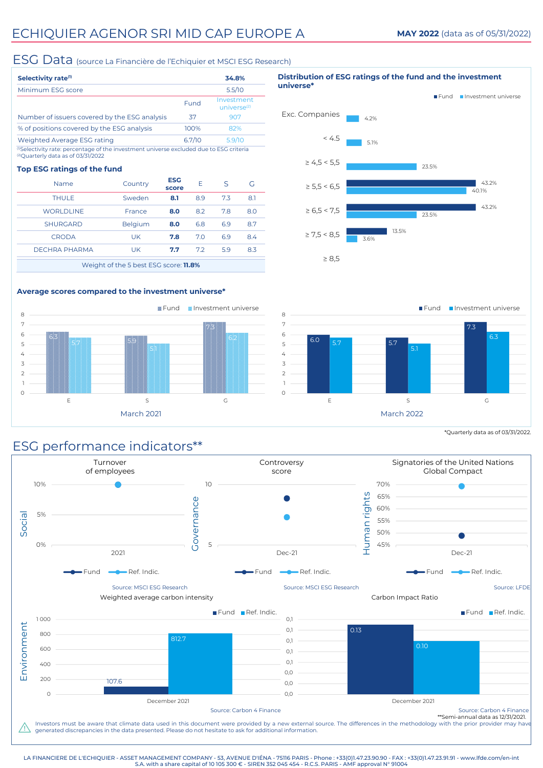## ESG Data (source La Financière de l'Echiquier et MSCI ESG Research)

| Selectivity rate <sup>(1)</sup>                                                                                                                     |        | 34.8%                                 |
|-----------------------------------------------------------------------------------------------------------------------------------------------------|--------|---------------------------------------|
| Minimum ESG score                                                                                                                                   |        | 5.5/10                                |
|                                                                                                                                                     | Fund   | Investment<br>universe <sup>(2)</sup> |
| Number of issuers covered by the ESG analysis                                                                                                       | 37     | 907                                   |
| % of positions covered by the ESG analysis                                                                                                          | 100%   | 82%                                   |
| Weighted Average ESG rating                                                                                                                         | 6.7/10 | 5.9/10                                |
| <sup>0</sup> Selectivity rate: percentage of the investment universe excluded due to ESG criteria<br><sup>(2)</sup> Ouarterly data as of 03/31/2022 |        |                                       |

#### **Top ESG ratings of the fund**

| Name                                  | Country        | <b>ESG</b><br>score | F   | S   | G   |  |  |  |
|---------------------------------------|----------------|---------------------|-----|-----|-----|--|--|--|
| <b>THULE</b>                          | Sweden         | 8.1                 | 8.9 | 73  | 8.1 |  |  |  |
| <b>WORLDLINE</b>                      | France         | 8.0                 | 8.2 | 7.8 | 8.0 |  |  |  |
| <b>SHURGARD</b>                       | <b>Belgium</b> | 8.0                 | 6.8 | 6.9 | 8.7 |  |  |  |
| <b>CRODA</b>                          | UK             | 7.8                 | 7.0 | 6.9 | 8.4 |  |  |  |
| DECHRA PHARMA                         | UK.            | 7.7                 | 72  | 59  | 8.3 |  |  |  |
| Waight of the 5 hest ESC score: 11 8% |                |                     |     |     |     |  |  |  |

Weight of the 5 best ESG score: **11.8%**

## **Average scores compared to the investment universe\***





\*Quarterly data as of 03/31/2022.

# ESG performance indicators\*\*



LA FINANCIERE DE L'ECHIQUIER - ASSET MANAGEMENT COMPANY - 53, AVENUE D'IÉNA - 75116 PARIS - Phone : +33(0)1.47.23.90.90 - FAX : +33(0)1.47.23.91.91 - www.lfde.com/en-int S.A. with a share capital of 10 105 300 € - SIREN 352 045 454 - R.C.S. PARIS - AMF approval N° 91004